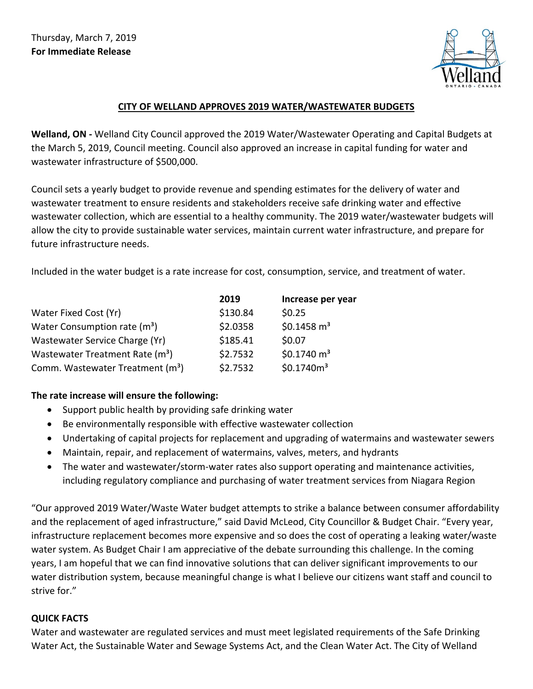

## **CITY OF WELLAND APPROVES 2019 WATER/WASTEWATER BUDGETS**

**Welland, ON -** Welland City Council approved the 2019 Water/Wastewater Operating and Capital Budgets at the March 5, 2019, Council meeting. Council also approved an increase in capital funding for water and wastewater infrastructure of \$500,000.

Council sets a yearly budget to provide revenue and spending estimates for the delivery of water and wastewater treatment to ensure residents and stakeholders receive safe drinking water and effective wastewater collection, which are essential to a healthy community. The 2019 water/wastewater budgets will allow the city to provide sustainable water services, maintain current water infrastructure, and prepare for future infrastructure needs.

Included in the water budget is a rate increase for cost, consumption, service, and treatment of water.

|                                              | 2019     | Increase per year      |
|----------------------------------------------|----------|------------------------|
| Water Fixed Cost (Yr)                        | \$130.84 | \$0.25                 |
| Water Consumption rate $(m^3)$               | \$2.0358 | \$0.1458 $m3$          |
| Wastewater Service Charge (Yr)               | \$185.41 | \$0.07                 |
| Wastewater Treatment Rate (m <sup>3</sup> )  | \$2.7532 | \$0.1740 $m3$          |
| Comm. Wastewater Treatment (m <sup>3</sup> ) | \$2.7532 | \$0.1740m <sup>3</sup> |

## **The rate increase will ensure the following:**

- Support public health by providing safe drinking water
- Be environmentally responsible with effective wastewater collection
- Undertaking of capital projects for replacement and upgrading of watermains and wastewater sewers
- Maintain, repair, and replacement of watermains, valves, meters, and hydrants
- The water and wastewater/storm-water rates also support operating and maintenance activities, including regulatory compliance and purchasing of water treatment services from Niagara Region

"Our approved 2019 Water/Waste Water budget attempts to strike a balance between consumer affordability and the replacement of aged infrastructure," said David McLeod, City Councillor & Budget Chair. "Every year, infrastructure replacement becomes more expensive and so does the cost of operating a leaking water/waste water system. As Budget Chair I am appreciative of the debate surrounding this challenge. In the coming years, I am hopeful that we can find innovative solutions that can deliver significant improvements to our water distribution system, because meaningful change is what I believe our citizens want staff and council to strive for."

## **QUICK FACTS**

Water and wastewater are regulated services and must meet legislated requirements of the Safe Drinking Water Act, the Sustainable Water and Sewage Systems Act, and the Clean Water Act. The City of Welland